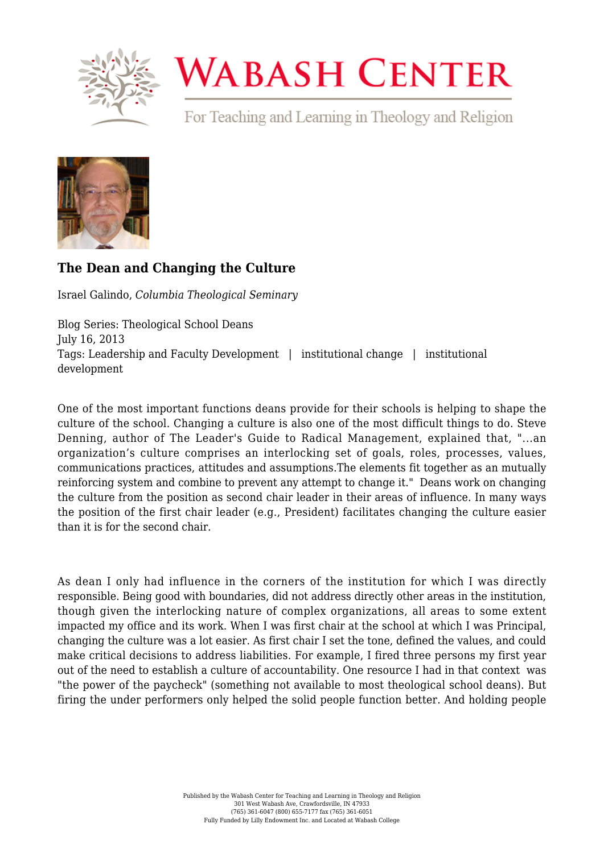

## **WABASH CENTER**

For Teaching and Learning in Theology and Religion



## **[The Dean and Changing the Culture](https://www.wabashcenter.wabash.edu/2013/07/the-dean-and-changing-the-culture/)**

Israel Galindo, *Columbia Theological Seminary*

Blog Series: Theological School Deans July 16, 2013 Tags: Leadership and Faculty Development | institutional change | institutional development

One of the most important functions deans provide for their schools is helping to shape the culture of the school. Changing a culture is also one of the most difficult things to do. Steve Denning, author of The Leader's Guide to Radical Management, explained that, "...an organization's culture comprises an interlocking set of goals, roles, processes, values, communications practices, attitudes and assumptions.The elements fit together as an mutually reinforcing system and combine to prevent any attempt to change it." Deans work on changing the culture from the position as second chair leader in their areas of influence. In many ways the position of the first chair leader (e.g., President) facilitates changing the culture easier than it is for the second chair.

As dean I only had influence in the corners of the institution for which I was directly responsible. Being good with boundaries, did not address directly other areas in the institution, though given the interlocking nature of complex organizations, all areas to some extent impacted my office and its work. When I was first chair at the school at which I was Principal, changing the culture was a lot easier. As first chair I set the tone, defined the values, and could make critical decisions to address liabilities. For example, I fired three persons my first year out of the need to establish a culture of accountability. One resource I had in that context was "the power of the paycheck" (something not available to most theological school deans). But firing the under performers only helped the solid people function better. And holding people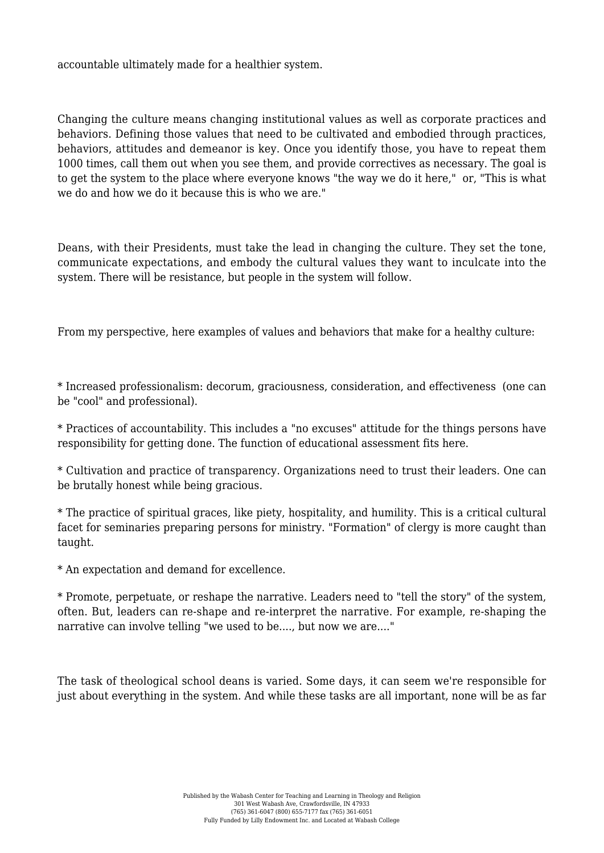accountable ultimately made for a healthier system.

Changing the culture means changing institutional values as well as corporate practices and behaviors. Defining those values that need to be cultivated and embodied through practices, behaviors, attitudes and demeanor is key. Once you identify those, you have to repeat them 1000 times, call them out when you see them, and provide correctives as necessary. The goal is to get the system to the place where everyone knows "the way we do it here," or, "This is what we do and how we do it because this is who we are."

Deans, with their Presidents, must take the lead in changing the culture. They set the tone, communicate expectations, and embody the cultural values they want to inculcate into the system. There will be resistance, but people in the system will follow.

From my perspective, here examples of values and behaviors that make for a healthy culture:

\* Increased professionalism: decorum, graciousness, consideration, and effectiveness (one can be "cool" and professional).

\* Practices of accountability. This includes a "no excuses" attitude for the things persons have responsibility for getting done. The function of educational assessment fits here.

\* Cultivation and practice of transparency. Organizations need to trust their leaders. One can be brutally honest while being gracious.

\* The practice of spiritual graces, like piety, hospitality, and humility. This is a critical cultural facet for seminaries preparing persons for ministry. "Formation" of clergy is more caught than taught.

\* An expectation and demand for excellence.

\* Promote, perpetuate, or reshape the narrative. Leaders need to "tell the story" of the system, often. But, leaders can re-shape and re-interpret the narrative. For example, re-shaping the narrative can involve telling "we used to be...., but now we are...."

The task of theological school deans is varied. Some days, it can seem we're responsible for just about everything in the system. And while these tasks are all important, none will be as far